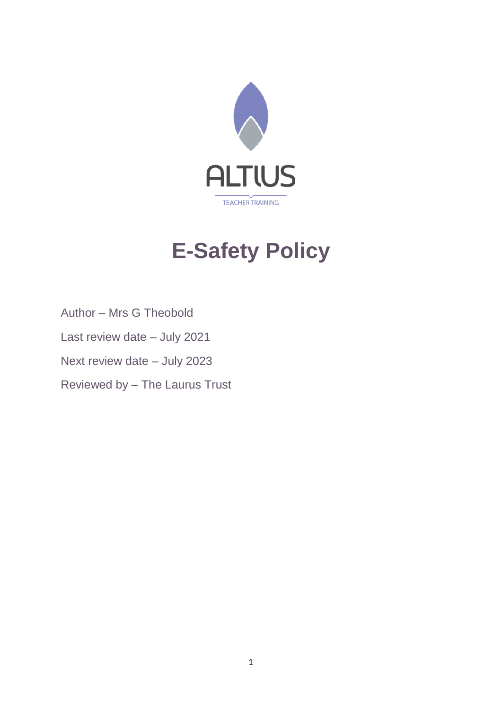

# **E-Safety Policy**

- Author Mrs G Theobold
- Last review date July 2021
- Next review date July 2023
- Reviewed by The Laurus Trust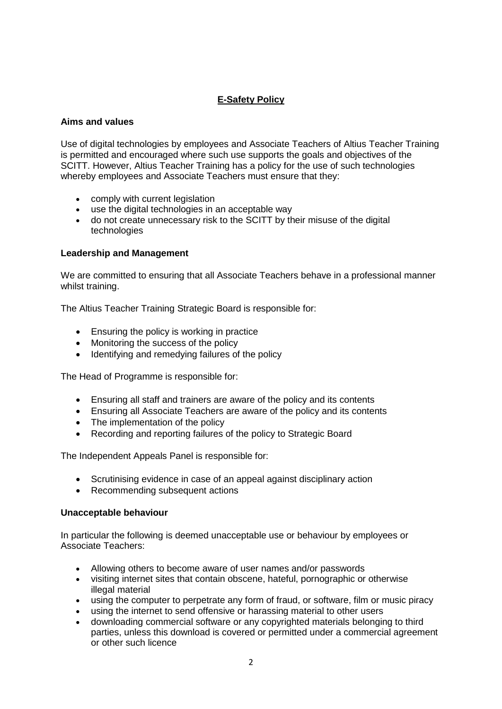# **E-Safety Policy**

## **Aims and values**

Use of digital technologies by employees and Associate Teachers of Altius Teacher Training is permitted and encouraged where such use supports the goals and objectives of the SCITT. However, Altius Teacher Training has a policy for the use of such technologies whereby employees and Associate Teachers must ensure that they:

- comply with current legislation
- use the digital technologies in an acceptable way
- do not create unnecessary risk to the SCITT by their misuse of the digital technologies

# **Leadership and Management**

We are committed to ensuring that all Associate Teachers behave in a professional manner whilst training.

The Altius Teacher Training Strategic Board is responsible for:

- Ensuring the policy is working in practice
- Monitoring the success of the policy
- Identifying and remedying failures of the policy

The Head of Programme is responsible for:

- Ensuring all staff and trainers are aware of the policy and its contents
- Ensuring all Associate Teachers are aware of the policy and its contents
- The implementation of the policy
- Recording and reporting failures of the policy to Strategic Board

The Independent Appeals Panel is responsible for:

- Scrutinising evidence in case of an appeal against disciplinary action
- Recommending subsequent actions

### **Unacceptable behaviour**

In particular the following is deemed unacceptable use or behaviour by employees or Associate Teachers:

- Allowing others to become aware of user names and/or passwords
- visiting internet sites that contain obscene, hateful, pornographic or otherwise illegal material
- using the computer to perpetrate any form of fraud, or software, film or music piracy
- using the internet to send offensive or harassing material to other users
- downloading commercial software or any copyrighted materials belonging to third parties, unless this download is covered or permitted under a commercial agreement or other such licence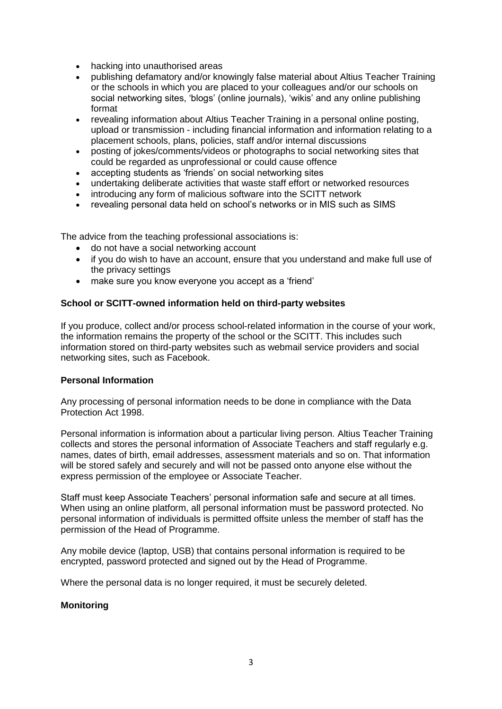- hacking into unauthorised areas
- publishing defamatory and/or knowingly false material about Altius Teacher Training or the schools in which you are placed to your colleagues and/or our schools on social networking sites, 'blogs' (online journals), 'wikis' and any online publishing format
- revealing information about Altius Teacher Training in a personal online posting, upload or transmission - including financial information and information relating to a placement schools, plans, policies, staff and/or internal discussions
- posting of jokes/comments/videos or photographs to social networking sites that could be regarded as unprofessional or could cause offence
- accepting students as 'friends' on social networking sites
- undertaking deliberate activities that waste staff effort or networked resources
- introducing any form of malicious software into the SCITT network
- revealing personal data held on school's networks or in MIS such as SIMS

The advice from the teaching professional associations is:

- do not have a social networking account
- if you do wish to have an account, ensure that you understand and make full use of the privacy settings
- make sure you know everyone you accept as a 'friend'

### **School or SCITT-owned information held on third-party websites**

If you produce, collect and/or process school-related information in the course of your work, the information remains the property of the school or the SCITT. This includes such information stored on third-party websites such as webmail service providers and social networking sites, such as Facebook.

### **Personal Information**

Any processing of personal information needs to be done in compliance with the Data Protection Act 1998.

Personal information is information about a particular living person. Altius Teacher Training collects and stores the personal information of Associate Teachers and staff regularly e.g. names, dates of birth, email addresses, assessment materials and so on. That information will be stored safely and securely and will not be passed onto anyone else without the express permission of the employee or Associate Teacher.

Staff must keep Associate Teachers' personal information safe and secure at all times. When using an online platform, all personal information must be password protected. No personal information of individuals is permitted offsite unless the member of staff has the permission of the Head of Programme.

Any mobile device (laptop, USB) that contains personal information is required to be encrypted, password protected and signed out by the Head of Programme.

Where the personal data is no longer required, it must be securely deleted.

#### **Monitoring**